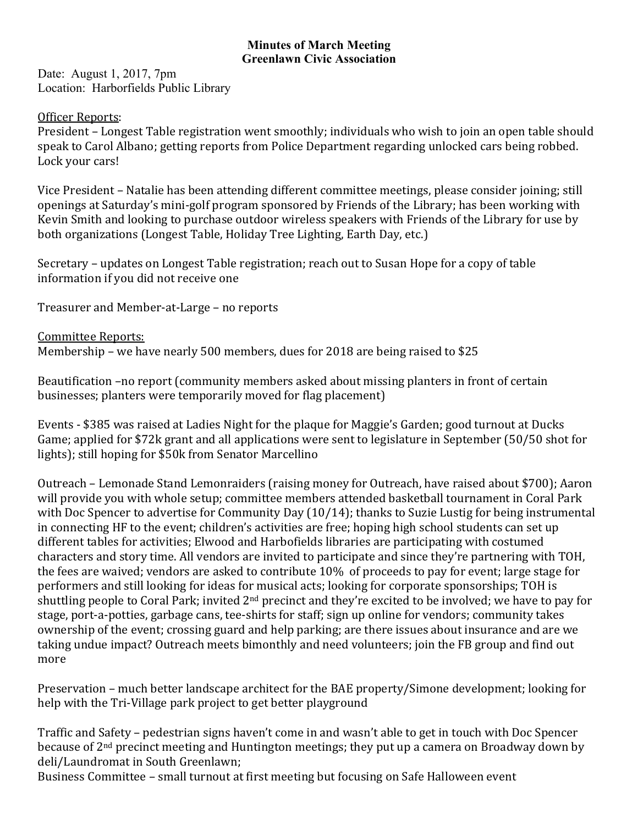## **Minutes of March Meeting Greenlawn Civic Association**

Date: August 1, 2017, 7pm Location: Harborfields Public Library

## Officer Reports:

President – Longest Table registration went smoothly; individuals who wish to join an open table should speak to Carol Albano; getting reports from Police Department regarding unlocked cars being robbed. Lock your cars!

Vice President – Natalie has been attending different committee meetings, please consider joining; still openings at Saturday's mini-golf program sponsored by Friends of the Library; has been working with Kevin Smith and looking to purchase outdoor wireless speakers with Friends of the Library for use by both organizations (Longest Table, Holiday Tree Lighting, Earth Day, etc.)

Secretary – updates on Longest Table registration; reach out to Susan Hope for a copy of table information if you did not receive one

Treasurer and Member-at-Large – no reports

Committee Reports: Membership – we have nearly 500 members, dues for 2018 are being raised to \$25

Beautification -no report (community members asked about missing planters in front of certain businesses; planters were temporarily moved for flag placement)

Events - \$385 was raised at Ladies Night for the plaque for Maggie's Garden; good turnout at Ducks Game; applied for \$72k grant and all applications were sent to legislature in September (50/50 shot for lights); still hoping for \$50k from Senator Marcellino

Outreach – Lemonade Stand Lemonraiders (raising money for Outreach, have raised about \$700); Aaron will provide you with whole setup; committee members attended basketball tournament in Coral Park with Doc Spencer to advertise for Community Day  $(10/14)$ ; thanks to Suzie Lustig for being instrumental in connecting HF to the event; children's activities are free; hoping high school students can set up different tables for activities; Elwood and Harbofields libraries are participating with costumed characters and story time. All vendors are invited to participate and since they're partnering with TOH, the fees are waived; vendors are asked to contribute  $10\%$  of proceeds to pay for event; large stage for performers and still looking for ideas for musical acts; looking for corporate sponsorships; TOH is shuttling people to Coral Park; invited 2<sup>nd</sup> precinct and they're excited to be involved; we have to pay for stage, port-a-potties, garbage cans, tee-shirts for staff; sign up online for vendors; community takes ownership of the event; crossing guard and help parking; are there issues about insurance and are we taking undue impact? Outreach meets bimonthly and need volunteers; join the FB group and find out more

Preservation – much better landscape architect for the BAE property/Simone development; looking for help with the Tri-Village park project to get better playground

Traffic and Safety – pedestrian signs haven't come in and wasn't able to get in touch with Doc Spencer because of  $2<sup>nd</sup>$  precinct meeting and Huntington meetings; they put up a camera on Broadway down by deli/Laundromat in South Greenlawn:

Business Committee – small turnout at first meeting but focusing on Safe Halloween event